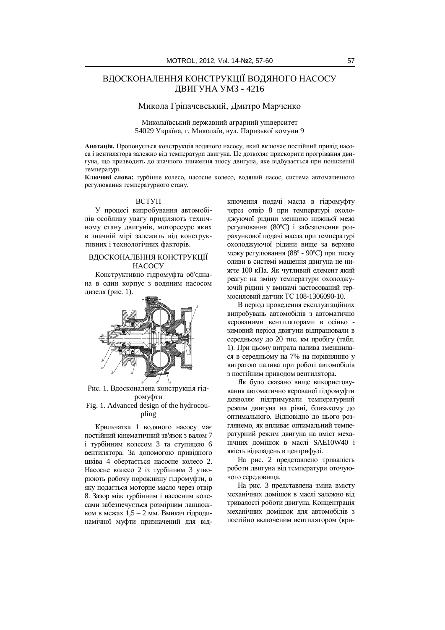# ВЛОСКОНАЛЕННЯ КОНСТРУКШЇ ВОЛЯНОГО НАСОСУ ДВИГУНА УМЗ - 4216

## Микола Гріпачевський, Дмитро Марченко

Миколаївський лержавний аграрний університет 54029 Україна, г. Миколаїв, вул. Паризької комуни 9

Анотація. Пропонується конструкція водяного насосу, який включає постійний привід насоса і вентилятора залежно від температури двигуна. Це дозволяє прискорити прогрівання двигуна, що призводить до значного зниження зносу двигуна, яке відбувається при пониженій температурі.

Ключові слова: турбінне колесо, насосне колесо, водяний насос, система автоматичного регулювання температурного стану.

#### ВСТУП

У процесі випробування автомобілів особливу увагу приліляють технічному стану двигунів, моторесурс яких в значній мірі залежить від конструктивних і технологічних факторів.

### ВДОСКОНАЛЕННЯ КОНСТРУКЦІЇ **HACOCY**

Конструктивно гідромуфта об'єднана в один корпус з водяним насосом дизеля (рис. 1).



Рис. 1. Вдосконалена конструкція гідромуфти

Fig. 1. Advanced design of the hydrocoupling

Крильчатка 1 водяного насосу має постійний кінематичний зв'язок з валом 7 і турбінним колесом 3 та ступицею 6 вентилятора. За допомогою привідного шківа 4 обертається насосне колесо 2. Насосне колесо 2 із турбінним 3 утворюють робочу порожнину гідромуфти, в яку подається моторне масло через отвір 8. Зазор між турбінним і насосним колесами забезпечується розмірним ланцюжком в межах  $1,5 - 2$  мм. Вмикач гідродинамічної муфти призначений для відключення подачі масла в гідромуфту через отвір 8 при температурі охолоджуючої рілини меншою нижньої межі регулювання (80°С) і забезпечення розрахункової подачі масла при температурі охолоджуючої рідини вище за верхню межу регулювання (88° - 90°С) при тиску оливи в системі мащення двигуна не нижче 100 кПа. Як чутливий елемент який реагує на зміну температури охолоджуючій рідині у вмикачі застосований термосиловий латчик ТС 108-1306090-10.

В період проведення експлуатаційних випробувань автомобілів з автоматично керованими вентиляторами в осіньо зимовий період двигуни відпрацювали в середньому до 20 тис. км пробігу (табл. 1). При цьому витрата палива зменшилася в середньому на 7% на порівнянню у витратою палива при роботі автомобілів з постійним приводом вентилятора.

Як було сказано више використовування автоматично керованої гідромуфти дозволяє підтримувати температурний режим двигуна на рівні, близькому до оптимального. Відповідно до цього розглянемо, як впливає оптимальний температурний режим двигуна на вміст механічних домішок в маслі SAE10W40 і якість відкладень в центрифузі.

На рис. 2 представлено тривалість роботи двигуна від температури оточуючого середовища.

На рис. 3 представлена зміна вмісту механічних домішок в маслі залежно від тривалості роботи двигуна. Концентрація механічних домішок для автомобілів з постійно включеним вентилятором (кри-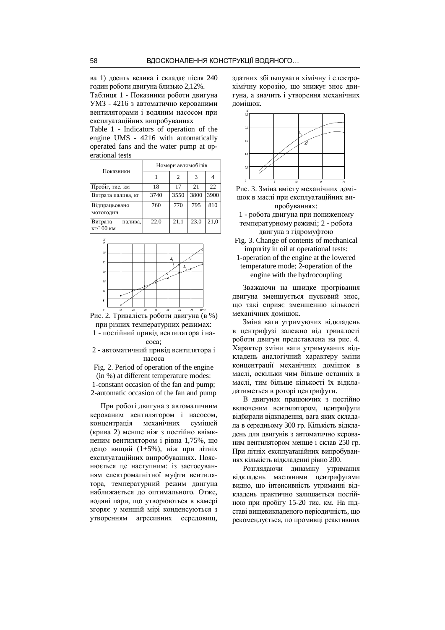ва 1) досить велика і складає після 240 годин роботи двигуна близько 2,12%.

Таблиця 1 - Показники роботи двигуна УМЗ - 4216 з автоматично керованими вентиляторами і водяним насосом при експлуатаційних випробуваннях

Table 1 - Indicators of operation of the engine UMS - 4216 with automatically operated fans and the water pump at operational tests

| Показники                                   | Номери автомобілів |                             |      |      |  |  |
|---------------------------------------------|--------------------|-----------------------------|------|------|--|--|
|                                             |                    | $\mathcal{D}_{\mathcal{A}}$ | 3    |      |  |  |
| Пробіг, тис. км                             | 18                 | 17                          | 2.1  | 22.  |  |  |
| Витрата палива, кг                          | 3740               | 3550                        | 3800 | 3900 |  |  |
| Відпрацьовано<br>МОТОГОДИН                  | 760                | 770                         | 795  | 810  |  |  |
| Витрата<br>палива.<br>$\kappa\Gamma/100$ KM | 22.0               | 21,1                        | 23,0 | 21,0 |  |  |

| %<br>35       |                |     |                          |      |          |                        |
|---------------|----------------|-----|--------------------------|------|----------|------------------------|
| 30            |                |     |                          |      |          |                        |
|               |                |     |                          |      |          |                        |
| 25            |                |     |                          |      |          |                        |
| 20            |                |     |                          |      |          |                        |
| $\it 20$      |                |     |                          |      |          |                        |
| $\it 10$      |                |     |                          |      |          |                        |
| $\mathfrak s$ |                |     |                          |      |          |                        |
| ٠             | $\overline{a}$ | An. | $\sim$<br>$\overline{a}$ | c.a. | <b>A</b> | $\sim$<br>$\mathbf{a}$ |

Рис. 2. Тривалість роботи двигуна (в %) при різних температурних режимах:

1 - постійний привід вентилятора і наcoca:

2 - автоматичний привіл вентилятора і Hacoca

Fig. 2. Period of operation of the engine (in %) at different temperature modes:

1-constant occasion of the fan and pump; 2-automatic occasion of the fan and pump

При роботі двигуна з автоматичним керованим вентилятором і насосом, концентрація механічних сумішей (крива 2) менше ніж з постійно ввімкненим вентилятором *i* рiвна 1,75%, що дещо вищий (1+5%), ніж при літніх експлуатаційних випробуваннях. Пояснюється це наступним: із застосуванням електромагнітної муфти вентилятора, температурний режим двигуна наближається до оптимального. Отже, водяні пари, що утворюються в камері згоряє у меншій мірі конденсуються з утворенням агресивних середовищ,

здатних збільшувати хімічну і електрохімічну корозію, що знижує знос двигуна, а значить і утворення механічних ломішок.



- Рис. 3. Зміна вмісту механічних домішок в маслі при експлуатаційних випробуваннях:
- 1 робота двигуна при пониженому температурному режимі; 2 - робота двигуна з гідромуфтою
- Fig. 3. Change of contents of mechanical impurity in oil at operational tests:
- 1-operation of the engine at the lowered temperature mode; 2-operation of the engine with the hydrocoupling

Зважаючи на швидке прогрівання двигуна зменшується пусковий знос. що такі сприяє зменшенню кількості механічних домішок.

Зміна ваги утримуючих відкладень в центрифузі залежно від тривалості роботи двигун представлена на рис. 4. Характер зміни ваги утримуваних відкладень аналогічний характеру зміни концентрації механічних ломішок в маслі, оскільки чим більше останніх в маслі, тим більше кількості їх вілкладатиметься в роторі центрифуги.

В двигунах працюючих з постійно включеним вентилятором, центрифуги відбирали відкладення, вага яких складала в середньому 300 гр. Кількість відкладень для двигунів з автоматично керованим вентилятором менше і склав 250 гр. При літніх експлуатаційних випробуваннях кількість відкладенні рівно 200.

Розглялаючи линаміку утримання відкладень масляними центрифугами видно, що інтенсивність утриманні відкладень практично залишається постійною при пробігу 15-20 тис. км. На підставі вищевикладеного періодичність, що рекомендується, по промивці реактивних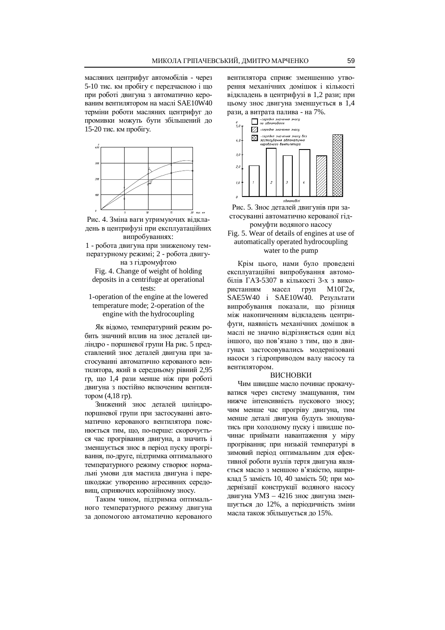масляних центрифуг автомобілів - через 5-10 тис. км пробігу є передчасною і що при роботі двигуна з автоматично керованим вентилятором на маслі SAE10W40 терміни роботи масляних центрифуг до промивки можуть бути збільшений до 15-20 тис. км пробігу.



Рис. 4. Зміна ваги утримуючих відкладень в центрифузі при експлуатаційних випробуваннях:

1 - робота двигуна при зниженому температурному режимі; 2 - робота двигуна з гідромуфтою

Fig. 4. Change of weight of holding deposits in a centrifuge at operational tests:

1-operation of the engine at the lowered temperature mode; 2-operation of the engine with the hydrocoupling

Як відомо, температурний режим робить значний вплив на знос деталей циліндро - поршневої групи На рис. 5 представлений знос деталей двигуна при застосуванні автоматично керованого вентилятора, який в середньому рівний 2,95 гр, що 1,4 рази менше ніж при роботі двигуна з постійно включеним вентилятором (4,18 гр).

Знижений знос деталей циліндропоршневої групи при застосуванні автоматично керованого вентилятора пояснюється тим, що, по-перше: скорочується час прогрівання двигуна, а значить і зменшується знос в період пуску прогрівання, по-друге, підтримка оптимального температурного режиму створює нормальні умови для мастила двигуна і перешкоджає утворенню агресивних середовищ, сприяючих корозійному зносу.

Таким чином, підтримка оптимального температурного режиму двигуна за допомогою автоматично керованого вентилятора сприяє зменшенню утворення механічних домішок і кількості відкладень в центрифузі в 1,2 рази; при цьому знос двигуна зменшується в 1,4 рази, а витрата палива - на 7%.



Рис. 5. Знос деталей двигунів при застосуванні автоматично керованої гідромуфти водяного насосу

Fig. 5. Wear of details of engines at use of automatically operated hydrocoupling water to the pump

Крім цього, нами було проведені експлуатаційні випробування автомобілів ГАЗ-5307 в кількості 3-х з використанням масел груп М10Г2к, SAE5W40 i SAE10W40. Результати випробування показали, що різниця між накопиченням відкладень центрифуги, наявність механічних домішок в маслі не значно відрізняється один від іншого, що пов'язано з тим, що в двигунах застосовувались модернізовані насоси з гідроприводом валу насосу та вентилятором.

#### ВИСНОВКИ

Чим швидше масло починає прокачуватися через систему змащування, тим нижче інтенсивність пускового зносу: чим менше час прогріву двигуна, тим менше деталі двигуна будуть зношуватись при холодному пуску і швидше починає приймати навантаження у міру прогрівання; при низькій температурі в зимовий період оптимальним для ефективної роботи вузлів тертя двигуна являється масло з меншою в'язкістю, наприклад 5 замість 10, 40 замість 50; при модернізації конструкції водяного насосу двигуна УМЗ – 4216 знос двигуна зменшується до 12%, а періодичність зміни масла також збільшується до 15%.